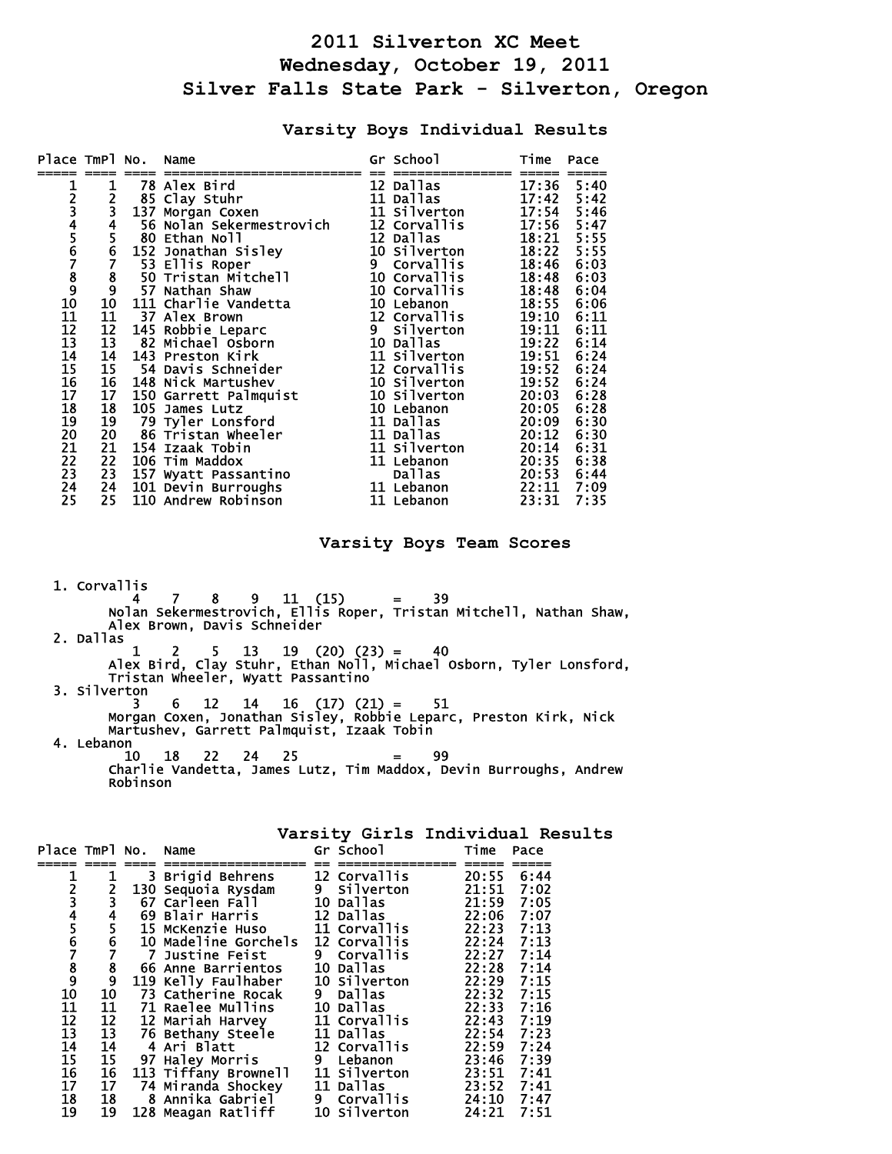## **2011 Silverton XC Meet Wednesday, October 19, 2011 Silver Falls State Park - Silverton, Oregon**

## **Varsity Boys Individual Results**

| Place TmPl No.                                                    |                                         |     | Name                     |   | Gr School    | Time           | Pace |
|-------------------------------------------------------------------|-----------------------------------------|-----|--------------------------|---|--------------|----------------|------|
|                                                                   |                                         |     |                          |   |              |                |      |
|                                                                   | 1                                       |     | 78 Alex Bird             |   | 12 Dallas    | 17:36          | 5:40 |
|                                                                   |                                         |     | 85 Clay Stuhr            |   | 11 Dallas    | 17:42          | 5:42 |
|                                                                   |                                         | 137 | Morgan Coxen             |   | 11 Silverton | 17:54          | 5:46 |
|                                                                   |                                         |     | 56 Nolan Sekermestrovich |   | 12 Corvallis | 17:56          | 5:47 |
|                                                                   |                                         |     | 80 Ethan Noll            |   | 12 Dallas    | 18:21          | 5:55 |
|                                                                   |                                         |     | 152 Jonathan Sisley      |   | 10 Silverton | 18:22          | 5:55 |
|                                                                   | 234567890                               |     | 53 Ellis Roper           | 9 | Corvallis    | 18:46          | 6:03 |
|                                                                   |                                         |     | 50 Tristan Mitchell      |   | 10 Corvallis | 18:48          | 6:03 |
|                                                                   |                                         | 57  | Nathan Shaw              |   | 10 Corvallis | 18:48          | 6:04 |
|                                                                   |                                         |     | 111 Charlie Vandetta     |   | 10 Lebanon   | 18:55          | 6:06 |
|                                                                   | 11                                      |     | <b>37 Alex Brown</b>     |   | 12 Corvallis | 19:10          | 6:11 |
|                                                                   |                                         |     | 145 Robbie Leparc        |   | 9 Silverton  | 19:11          | 6:11 |
| 1<br>2<br>3<br>4<br>5<br>6<br>7<br>8<br>9<br>1<br>1<br>1<br>1<br> | $\frac{12}{13}$<br>$14$                 |     | 82 Michael Osborn        |   | 10 Dallas    | 19:22          | 6:14 |
|                                                                   |                                         |     | 143 Preston Kirk         |   | 11 Silverton | 19:51          | 6:24 |
|                                                                   | 15                                      |     | 54 Davis Schneider       |   | 12 Corvallis | 19:52          | 6:24 |
|                                                                   | 16                                      |     | 148 Nick Martushev       |   | 10 Silverton | 19:52          | 6:24 |
|                                                                   | 17                                      |     | 150 Garrett Palmquist    |   | 10 Silverton | 20:03          | 6:28 |
|                                                                   | 18                                      |     | 105 James Lutz           |   | 10 Lebanon   | 20:05          | 6:28 |
|                                                                   | 19                                      |     | 79 Tyler Lonsford        |   | 11 Dallas    | 20:09          | 6:30 |
|                                                                   | 20                                      |     | 86 Tristan Wheeler       |   | 11 Dallas    | 20:12          | 6:30 |
|                                                                   | 21                                      |     | 154 Izaak Tobin          |   | 11 Silverton | 20:14          | 6:31 |
|                                                                   |                                         |     | 106 Tim Maddox           |   | 11 Lebanon   | 20:35          | 6:38 |
| 115678901234                                                      | $\begin{array}{c} 22 \\ 23 \end{array}$ |     | 157 Wyatt Passantino     |   | Dallas       |                | 6:44 |
|                                                                   | 24                                      |     | 101 Devin Burroughs      |   | 11 Lebanon   | 20:53<br>22:11 | 7:09 |
| 25                                                                | 25                                      |     | 110 Andrew Robinson      |   | 11 Lebanon   | 23:31          | 7:35 |

## **Varsity Boys Team Scores**

 1. Corvallis 4 7 8 9 11 (15) = 39 Nolan Sekermestrovich, Ellis Roper, Tristan Mitchell, Nathan Shaw, Alex Brown, Davis Schneider 2. Dallas  $1 \quad 2 \quad 5 \quad 13 \quad 19 \quad (20) \quad (23) = \quad 40$  Alex Bird, Clay Stuhr, Ethan Noll, Michael Osborn, Tyler Lonsford, Tristan Wheeler, Wyatt Passantino 3. Silverton 3 6 12 14 16 (17) (21) = 51 Morgan Coxen, Jonathan Sisley, Robbie Leparc, Preston Kirk, Nick Martushev, Garrett Palmquist, Izaak Tobin 4. Lebanon 10 18 22 24 25 = 99 Charlie Vandetta, James Lutz, Tim Maddox, Devin Burroughs, Andrew Robinson

| Place TmPl No. Name             |                                             |          |                                                                                                                                                            | Gr School    | Time       | Pace |
|---------------------------------|---------------------------------------------|----------|------------------------------------------------------------------------------------------------------------------------------------------------------------|--------------|------------|------|
|                                 | 1                                           |          | 3 Brigid Behrens                                                                                                                                           | 12 Corvallis | 20:55      | 6:44 |
|                                 |                                             |          | 130 Sequoia Rysdam                                                                                                                                         | 9 Silverton  | 21:51 7:02 |      |
|                                 |                                             |          | 67 Carleen Fall                                                                                                                                            | 10 Dallas    | 21:59 7:05 |      |
|                                 |                                             |          | 69 Blair Harris                                                                                                                                            | 12 Dallas    | 22:06 7:07 |      |
|                                 | 234567                                      |          | <b>15 McKenzie Huso</b>                                                                                                                                    | 11 Corvallis | 22:23 7:13 |      |
|                                 |                                             |          | 10 Madeline Gorchels                                                                                                                                       | 12 Corvallis | 22:24 7:13 |      |
|                                 |                                             | <b>7</b> | Justine Feist                                                                                                                                              | 9 Corvallis  | 22:27 7:14 |      |
|                                 |                                             |          | 66 Anne Barrientos                                                                                                                                         | 10 Dallas    | 22:28 7:14 |      |
|                                 | $\begin{array}{c} 8 \\ 9 \\ 10 \end{array}$ |          | 119 Kelly Faulhaber                                                                                                                                        | 10 Silverton | 22:29 7:15 |      |
|                                 |                                             |          | 73 Catherine Rocak                                                                                                                                         | 9 Dallas     | 22:32 7:15 |      |
|                                 | 11                                          |          | <b>71 Raelee Mullins</b>                                                                                                                                   | 10 Dallas    | 22:33      | 7:16 |
|                                 |                                             |          | 12 Mariah Harvey                                                                                                                                           | 11 Corvallis | 22:43 7:19 |      |
|                                 |                                             |          | 76 Bethany Steele                                                                                                                                          | 11 Dallas    | 22:54      | 7:23 |
|                                 |                                             |          |                                                                                                                                                            | 12 Corvallis | 22:59      | 7:24 |
|                                 |                                             |          |                                                                                                                                                            | 9 Lebanon    | 23:46 7:39 |      |
|                                 |                                             |          | 113 Tiffany Brownell                                                                                                                                       | 11 Silverton | 23:51      | 7:41 |
|                                 |                                             |          | 12 12 Mariah Harvey<br>13 76 Bethany Steele<br>14 4 Ari Blatt<br>15 97 Haley Morris<br>16 113 Tiffany Browne<br>17 74 Miranda Shocke<br>74 Miranda Shockey | 11 Dallas    | 23:52 7:41 |      |
|                                 |                                             |          | 8 Annika Gabriel                                                                                                                                           | 9 Corvallis  | 24:10 7:47 |      |
| <b>123456789101112345167789</b> |                                             |          | 18     8 Annika Gabriel<br>19  128 Meagan Ratliff                                                                                                          | 10 Silverton | 24:21 7:51 |      |

## **Varsity Girls Individual Results**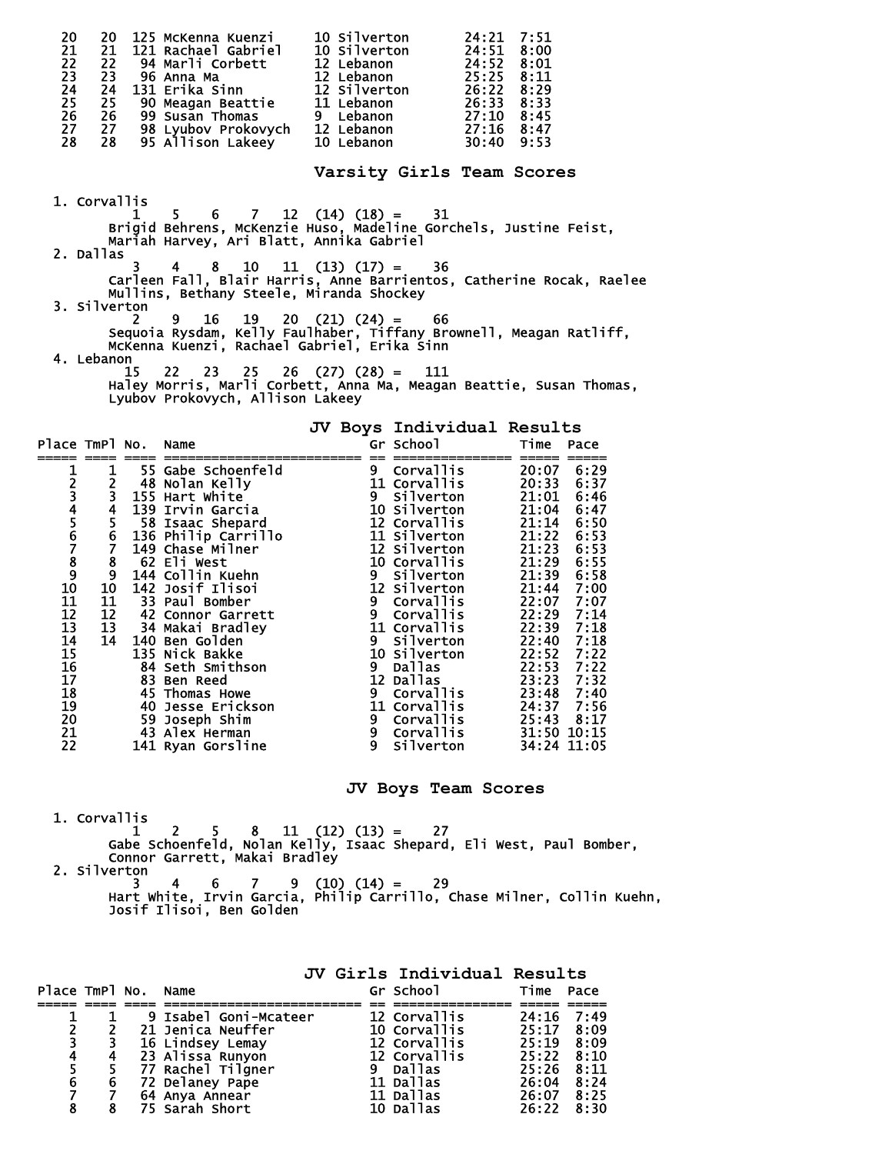| 20<br>20 125 McKenna Kuenzi 10 Silverton 24:21 7:51<br>21 121 Rachael Gabriel 10 Silverton 24:51 8:00<br>22 94 Marli Corbett 12 Lebanon 24:52 8:01<br>23 96 Anna Ma 12 Lebanon 25:25 8:11<br>24 131 Erika Sinn 12 Silverton 26:22 8:29<br>25 9<br>$\frac{21}{22}$<br>23<br>24<br>25<br>26<br>27<br>28 |                                   |           |
|-------------------------------------------------------------------------------------------------------------------------------------------------------------------------------------------------------------------------------------------------------------------------------------------------------|-----------------------------------|-----------|
|                                                                                                                                                                                                                                                                                                       | Varsity Girls Team Scores         |           |
| 1. Corvallis                                                                                                                                                                                                                                                                                          |                                   |           |
| $\begin{array}{ccc}\n1 & 5 & 6 & 7 & 12 \\ \end{array}$ (14) (18) = 31<br>Brigid Behrens, McKenzie Huso, Madeline Gorchels, Justine Feist,<br>Mariah Harvey, Ari Blatt, Annika Gabriel<br>2. Dallas                                                                                                   |                                   |           |
| <sup>7</sup> 3 4 8 10 11 (13) (17) = 36<br>Carleen Fall, Blair Harris, Anne Barrientos, Catherine Rocak, Raelee<br>Mullins, Bethany Steele, Miranda Shockey<br>3. Silverton                                                                                                                           |                                   |           |
| $2^{\circ}$<br>9<br>Sequoia Rysdam, Kelly Faulhaber, Tiffany Brownell, Meagan Ratliff,<br>McKenna Kuenzi, Rachael Gabriel, Erika Sinn<br>4. Lebanon                                                                                                                                                   | $16$ $19$ $20$ $(21)$ $(24)$ = 66 |           |
| . 15 22 23 25 26 (27) (28) = 111<br>Haley Morris, Marli Corbett, Anna Ma, Meagan Beattie, Susan Thomas,<br>Lyubov Prokovych, Allison Lakeey                                                                                                                                                           | JV Boys Individual Results        |           |
| Place TmPl No. Name<br><u>, 2008 2008 Annonosanananananananan 20 seorananananan 2000 anno</u>                                                                                                                                                                                                         | Gr School                         | Time Pace |
|                                                                                                                                                                                                                                                                                                       |                                   |           |
|                                                                                                                                                                                                                                                                                                       |                                   |           |

**JV Boys Team Scores** 

1. Corvallis

 $1 \quad 2 \quad 5 \quad 8 \quad 11 \quad (12) \quad (13) = \quad 27$  Gabe Schoenfeld, Nolan Kelly, Isaac Shepard, Eli West, Paul Bomber, Connor Garrett, Makai Bradley

2. Silverton

 3 4 6 7 9 (10) (14) = 29 Hart White, Irvin Garcia, Philip Carrillo, Chase Milner, Collin Kuehn, Josif Ilisoi, Ben Golden

|                |   |                                  |   | JV Girls Individual Results |                |      |
|----------------|---|----------------------------------|---|-----------------------------|----------------|------|
| Place TmPl No. |   | Name                             |   | Gr School                   | Time           | Pace |
|                |   |                                  |   |                             |                |      |
|                |   | 9 Isabel Goni-Mcateer            |   | 12 Corvallis                | 24:16          | 7:49 |
| $\frac{2}{3}$  |   | 21 Jenica Neuffer                |   | 10 Corvallis                | 25:17          | 8:09 |
|                | 3 | 16 Lindsey Lemay                 |   | 12 Corvallis                | 25:19          | 8:09 |
| 4              |   | 23 Alissa Runyon                 |   | 12 Corvallis                | 25:22          | 8:10 |
| 5<br>6         |   | 77 Rachel Tilgner                | 9 | <b>Dallas</b>               | $25:26$ $8:11$ |      |
|                | 6 | 72 Delaney Pape                  |   | 11 Dallas                   | 26:04          | 8:24 |
| 7              |   |                                  |   | 11 Dallas                   | 26:07          | 8:25 |
| 8              |   | 64 Anya Annear<br>75 Sarah Short |   | 10 Dallas                   | 26:22          | 8:30 |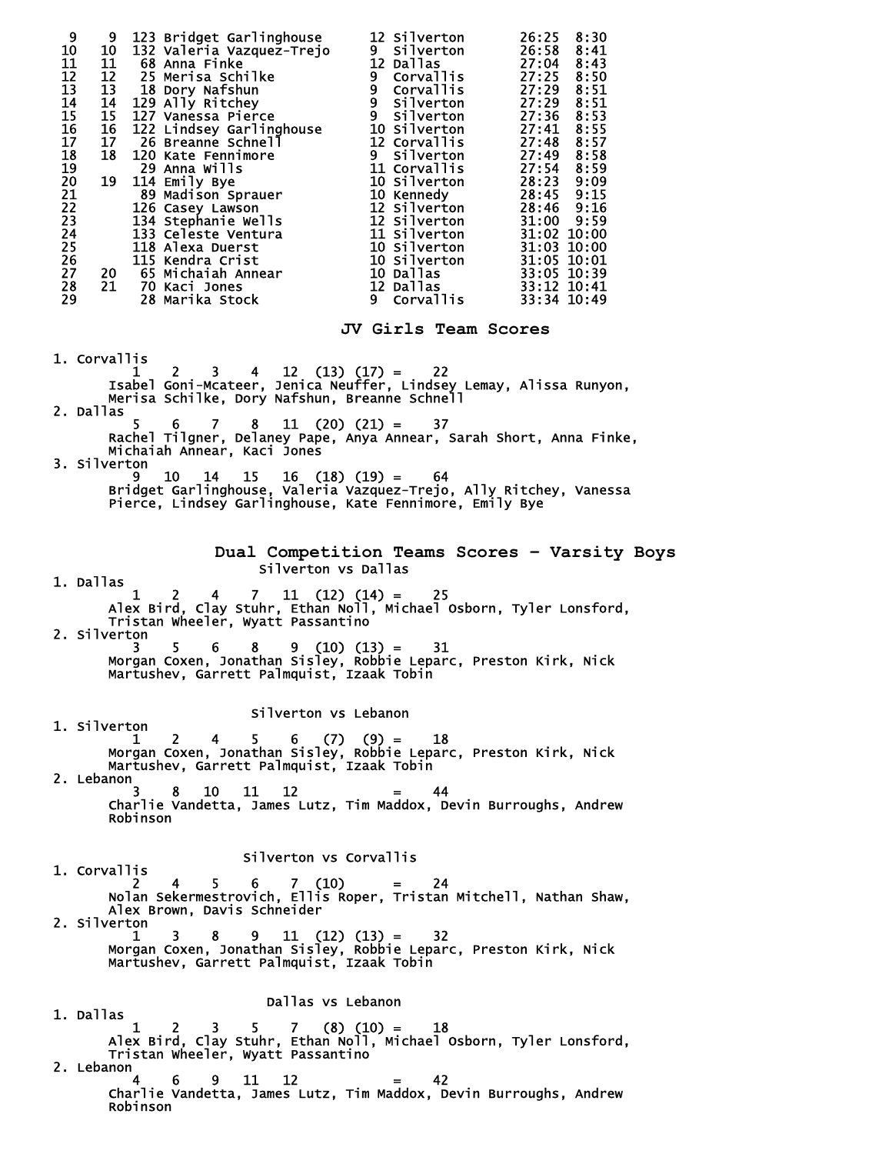| 9<br>123 Bridget Garlinghouse 12 Silverton<br>9<br>132 Valeria Vazquez-Trejo 9 Silverton<br>10<br>10<br>11<br>10 132 Valeria Vazquez-Trejo 9 Silverton 26:58 8:41<br>12 28 Menia Schilke 12 Dallas 27:04 8:43<br>12 25 Merisa Schilke 9 Corvallis 27:29 8:51<br>13 18 Dory Nafshun 9 Corvallis 27:29 8:51<br>14 129 Ally Ritchey 9 Silverton 27:30 8<br>12<br>13<br>14<br>15<br>16<br>17<br>18<br>19<br>20<br>21<br>22<br>23<br>24<br>25<br>26<br>27<br>28<br>29 |                                                                                                                                                                                 | 26:25 8:30<br>26:58<br>8:41                  |  |  |  |  |  |  |
|------------------------------------------------------------------------------------------------------------------------------------------------------------------------------------------------------------------------------------------------------------------------------------------------------------------------------------------------------------------------------------------------------------------------------------------------------------------|---------------------------------------------------------------------------------------------------------------------------------------------------------------------------------|----------------------------------------------|--|--|--|--|--|--|
|                                                                                                                                                                                                                                                                                                                                                                                                                                                                  | JV Girls Team Scores                                                                                                                                                            |                                              |  |  |  |  |  |  |
| 1. Corvallis<br>- 1 2 3 4 12 (13) (17) = 22<br>Isabel Goni-Mcateer, Jenica Neuffer, Lindsey Lemay, Alissa Runyon,<br>Merisa Schilke, Dory Nafshun, Breanne Schnell<br>2. Dallas<br>5<br>$7 -$<br>6                                                                                                                                                                                                                                                               | $8 \quad 11 \quad (20) \quad (21) = \quad 37$                                                                                                                                   |                                              |  |  |  |  |  |  |
| Rachel Tilgner, Delaney Pape, Anya Annear, Sarah Short, Anna Finke,<br>Michaiah Annear, Kaci Jones                                                                                                                                                                                                                                                                                                                                                               |                                                                                                                                                                                 |                                              |  |  |  |  |  |  |
|                                                                                                                                                                                                                                                                                                                                                                                                                                                                  | 3. Silverton<br>9 10 14 15 16 (18) (19) = $64$<br>Bridget Garlinghouse, Valeria Vazquez-Trejo, Ally Ritchey, Vanessa<br>Pierce, Lindsey Garlinghouse, Kate Fennimore, Emily Bye |                                              |  |  |  |  |  |  |
|                                                                                                                                                                                                                                                                                                                                                                                                                                                                  |                                                                                                                                                                                 | Dual Competition Teams Scores - Varsity Boys |  |  |  |  |  |  |
| Silverton vs Dallas<br>1. Dallas                                                                                                                                                                                                                                                                                                                                                                                                                                 |                                                                                                                                                                                 |                                              |  |  |  |  |  |  |
| $4 \quad 7 \quad 11 \quad (12) \quad (14) =$<br>25<br>1<br>2<br>Alex Bird, Clay Stuhr, Ethan Noll, Michael Osborn, Tyler Lonsford,<br>Tristan Wheeler, Wyatt Passantino                                                                                                                                                                                                                                                                                          |                                                                                                                                                                                 |                                              |  |  |  |  |  |  |
| 2. Silverton<br>5.<br>3.<br>6.<br>Morgan Coxen, Jonathan Sisley, Robbie Leparc, Preston Kirk, Nick<br>Martushev, Garrett Palmquist, Izaak Tobin                                                                                                                                                                                                                                                                                                                  | $9(10)(13) =$<br>31                                                                                                                                                             |                                              |  |  |  |  |  |  |
| Silverton vs Lebanon<br>1. Silverton                                                                                                                                                                                                                                                                                                                                                                                                                             |                                                                                                                                                                                 |                                              |  |  |  |  |  |  |
| 2 4 5 6 (7) (9) = 18<br>$\mathbf{1}$<br>Morgan Coxen, Jonathan Sisley, Robbie Leparc, Preston Kirk, Nick<br>Martushev, Garrett Palmquist, Izaak Tobin                                                                                                                                                                                                                                                                                                            |                                                                                                                                                                                 |                                              |  |  |  |  |  |  |
| 2. Lebanon<br>8 10 11<br>12 <sup>7</sup><br>3.                                                                                                                                                                                                                                                                                                                                                                                                                   | 44<br>$\equiv$                                                                                                                                                                  |                                              |  |  |  |  |  |  |
| Charlie Vandetta, James Lutz, Tim Maddox, Devin Burroughs, Andrew<br>Robinson                                                                                                                                                                                                                                                                                                                                                                                    |                                                                                                                                                                                 |                                              |  |  |  |  |  |  |
| Silverton vs Corvallis                                                                                                                                                                                                                                                                                                                                                                                                                                           |                                                                                                                                                                                 |                                              |  |  |  |  |  |  |
| 1. Corvallis<br>$5 \t 6 \t 7 \t (10) = 24$<br>$4 \quad$<br>2<br>Nolan Sekermestrovich, Ellis Roper, Tristan Mitchell, Nathan Shaw,                                                                                                                                                                                                                                                                                                                               |                                                                                                                                                                                 |                                              |  |  |  |  |  |  |
| Alex Brown, Davis Schneider<br>2. Silverton<br>3.<br>8<br>9<br>$\mathbf{1}$<br>Morgan Coxen, Jonathan Sisley, Robbie Leparc, Preston Kirk, Nick<br>Martushev, Garrett Palmquist, Izaak Tobin                                                                                                                                                                                                                                                                     | $11 \t(12) \t(13) = 32$                                                                                                                                                         |                                              |  |  |  |  |  |  |
| Dallas vs Lebanon                                                                                                                                                                                                                                                                                                                                                                                                                                                |                                                                                                                                                                                 |                                              |  |  |  |  |  |  |
| 1. Dallas                                                                                                                                                                                                                                                                                                                                                                                                                                                        |                                                                                                                                                                                 |                                              |  |  |  |  |  |  |
| 1 2 3 5 7 (8) (10) = 18<br>Alex Bird, Clay Stuhr, Ethan Noll, Michael Osborn, Tyler Lonsford,<br>Tristan Wheeler, Wyatt Passantino<br>2. Lebanon                                                                                                                                                                                                                                                                                                                 |                                                                                                                                                                                 |                                              |  |  |  |  |  |  |
| 9 11<br>12<br>4<br>6<br>Charlie Vandetta, James Lutz, Tim Maddox, Devin Burroughs, Andrew<br>Robinson                                                                                                                                                                                                                                                                                                                                                            | 42<br>$\mathbf{r} = \mathbf{r}$                                                                                                                                                 |                                              |  |  |  |  |  |  |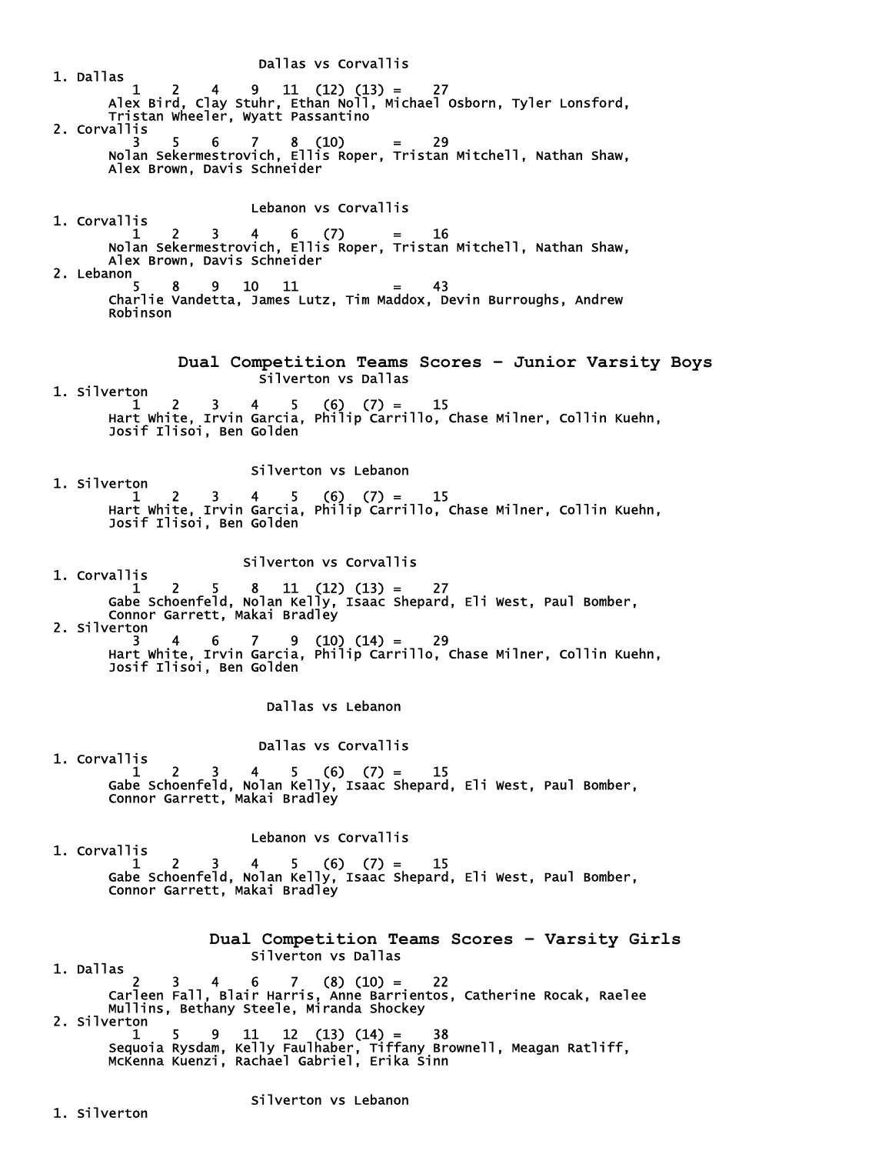Dallas vs Corvallis 1. Dallas  $1 \quad 2 \quad 4 \quad 9 \quad 11 \quad (12) \quad (13) = \quad 27$  Alex Bird, Clay Stuhr, Ethan Noll, Michael Osborn, Tyler Lonsford, Tristan Wheeler, Wyatt Passantino 2. Corvallis 3 5 6 7 8 (10) = 29 Nolan Sekermestrovich, Ellis Roper, Tristan Mitchell, Nathan Shaw, Alex Brown, Davis Schneider Lebanon vs Corvallis 1. Corvallis  $1 \quad 2 \quad 3 \quad 4 \quad 6 \quad (7) \quad = \quad 16$  Nolan Sekermestrovich, Ellis Roper, Tristan Mitchell, Nathan Shaw, Alex Brown, Davis Schneider 2. Lebanon  $5 \t 8 \t 9 \t 10 \t 11 = 43$  Charlie Vandetta, James Lutz, Tim Maddox, Devin Burroughs, Andrew Robinson **Dual Competition Teams Scores – Junior Varsity Boys**  Silverton vs Dallas 1. Silverton  $1 \quad 2 \quad 3 \quad 4 \quad 5 \quad (6) \quad (7) = \quad 15$  Hart White, Irvin Garcia, Philip Carrillo, Chase Milner, Collin Kuehn, Josif Ilisoi, Ben Golden Silverton vs Lebanon 1. Silverton  $1 \quad 2 \quad 3 \quad 4 \quad 5 \quad (6) \quad (7) = \quad 15$  Hart White, Irvin Garcia, Philip Carrillo, Chase Milner, Collin Kuehn, Josif Ilisoi, Ben Golden Silverton vs Corvallis 1. Corvallis  $1 \quad 2 \quad 5 \quad 8 \quad 11 \quad (12) \quad (13) = \quad 27$  Gabe Schoenfeld, Nolan Kelly, Isaac Shepard, Eli West, Paul Bomber, Connor Garrett, Makai Bradley 2. Silverton 3 4 6 7 9 (10) (14) = 29 Hart White, Irvin Garcia, Philip Carrillo, Chase Milner, Collin Kuehn, Josif Ilisoi, Ben Golden Dallas vs Lebanon Dallas vs Corvallis 1. Corvallis  $1 \quad 2 \quad 3 \quad 4 \quad 5 \quad (6) \quad (7) = \quad 15$  Gabe Schoenfeld, Nolan Kelly, Isaac Shepard, Eli West, Paul Bomber, Connor Garrett, Makai Bradley Lebanon vs Corvallis 1. Corvallis  $1 \quad 2 \quad 3 \quad 4 \quad 5 \quad (6) \quad (7) = \quad 15$  Gabe Schoenfeld, Nolan Kelly, Isaac Shepard, Eli West, Paul Bomber, Connor Garrett, Makai Bradley **Dual Competition Teams Scores – Varsity Girls**  Silverton vs Dallas 1. Dallas  $\begin{bmatrix} 2 & 3 \end{bmatrix}$  2 3 4 6 7 (8) (10) = 22 Carleen Fall, Blair Harris, Anne Barrientos, Catherine Rocak, Raelee Mullins, Bethany Steele, Miranda Shockey 2. Silverton 1 5 9 11 12 (13) (14) = 38 Sequoia Rysdam, Kelly Faulhaber, Tiffany Brownell, Meagan Ratliff, McKenna Kuenzi, Rachael Gabriel, Erika Sinn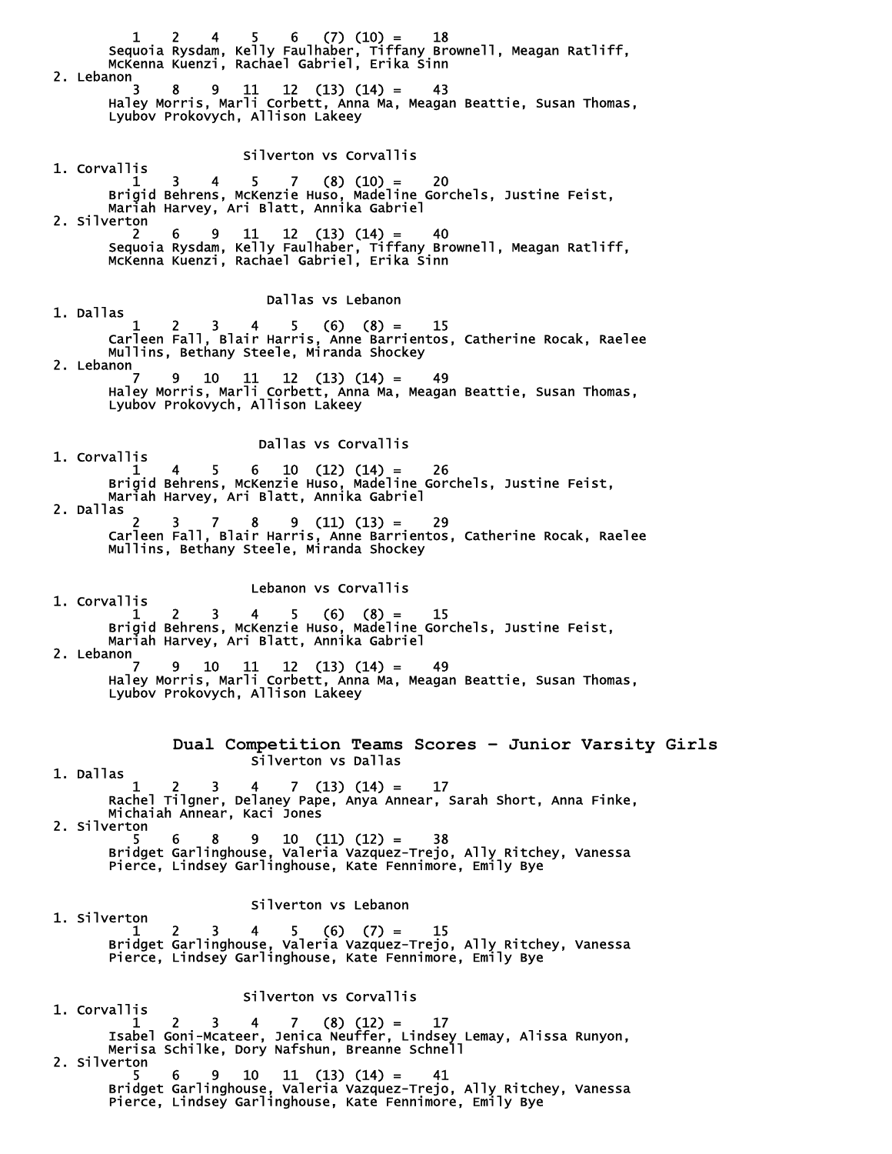$1 \quad 2 \quad 4 \quad 5 \quad 6 \quad (7) \quad (10) = \quad 18$  Sequoia Rysdam, Kelly Faulhaber, Tiffany Brownell, Meagan Ratliff, McKenna Kuenzi, Rachael Gabriel, Erika Sinn 2. Lebanon 3 8 9 11 12 (13) (14) = 43 Haley Morris, Marli Corbett, Anna Ma, Meagan Beattie, Susan Thomas, Lyubov Prokovych, Allison Lakeey Silverton vs Corvallis 1. Corvallis  $1 \quad 3 \quad 4 \quad 5 \quad 7 \quad (8) \quad (10) = \quad 20$  Brigid Behrens, McKenzie Huso, Madeline Gorchels, Justine Feist, Mariah Harvey, Ari Blatt, Annika Gabriel 2. Silverton 2 6 9 11 12 (13) (14) = 40 Sequoia Rysdam, Kelly Faulhaber, Tiffany Brownell, Meagan Ratliff, McKenna Kuenzi, Rachael Gabriel, Erika Sinn Dallas vs Lebanon 1. Dallas  $1 \quad 2 \quad 3 \quad 4 \quad 5 \quad (6) \quad (8) = \quad 15$  Carleen Fall, Blair Harris, Anne Barrientos, Catherine Rocak, Raelee Mullins, Bethany Steele, Miranda Shockey 2. Lebanon<sub>7</sub> 7 9 10 11 12 (13) (14) = 49 Haley Morris, Marli Corbett, Anna Ma, Meagan Beattie, Susan Thomas, Lyubov Prokovych, Allison Lakeey Dallas vs Corvallis 1. Corvallis  $1 \quad 4 \quad 5 \quad 6 \quad 10 \quad (12) \quad (14) = \quad 26$  Brigid Behrens, McKenzie Huso, Madeline Gorchels, Justine Feist, Mariah Harvey, Ari Blatt, Annika Gabriel 2. Dallas 2 3 7 8 9 (11) (13) = 29 Carleen Fall, Blair Harris, Anne Barrientos, Catherine Rocak, Raelee Mullins, Bethany Steele, Miranda Shockey Lebanon vs Corvallis 1. Corvallis  $1 \quad 2 \quad 3 \quad 4 \quad 5 \quad (6) \quad (8) = \quad 15$  Brigid Behrens, McKenzie Huso, Madeline Gorchels, Justine Feist, Mariah Harvey, Ari Blatt, Annika Gabriel 2. Lebanon 7 9 10 11 12 (13) (14) = 49 Haley Morris, Marli Corbett, Anna Ma, Meagan Beattie, Susan Thomas, Lyubov Prokovych, Allison Lakeey **Dual Competition Teams Scores – Junior Varsity Girls**  Silverton vs Dallas 1. Dallas  $13 \quad 4 \quad 7 \quad (13) \quad (14) = 17$  Rachel Tilgner, Delaney Pape, Anya Annear, Sarah Short, Anna Finke, Michaiah Annear, Kaci Jones 2. Silverton  $5 \t 6 \t 8 \t 9 \t 10 \t (11) \t (12) = 38$  Bridget Garlinghouse, Valeria Vazquez-Trejo, Ally Ritchey, Vanessa Pierce, Lindsey Garlinghouse, Kate Fennimore, Emily Bye Silverton vs Lebanon 1. Silverton  $1 \quad 2 \quad 3 \quad 4 \quad 5 \quad (6) \quad (7) = \quad 15$  Bridget Garlinghouse, Valeria Vazquez-Trejo, Ally Ritchey, Vanessa Pierce, Lindsey Garlinghouse, Kate Fennimore, Emily Bye Silverton vs Corvallis 1. Corvallis  $1 \quad 2 \quad 3 \quad 4 \quad 7 \quad (8) \tag{12} = \quad 17$  Isabel Goni-Mcateer, Jenica Neuffer, Lindsey Lemay, Alissa Runyon, Merisa Schilke, Dory Nafshun, Breanne Schnell 2. Silverton  $5 \t 6 \t 9 \t 10 \t 11 \t (13) \t (14) = 41$  Bridget Garlinghouse, Valeria Vazquez-Trejo, Ally Ritchey, Vanessa Pierce, Lindsey Garlinghouse, Kate Fennimore, Emily Bye